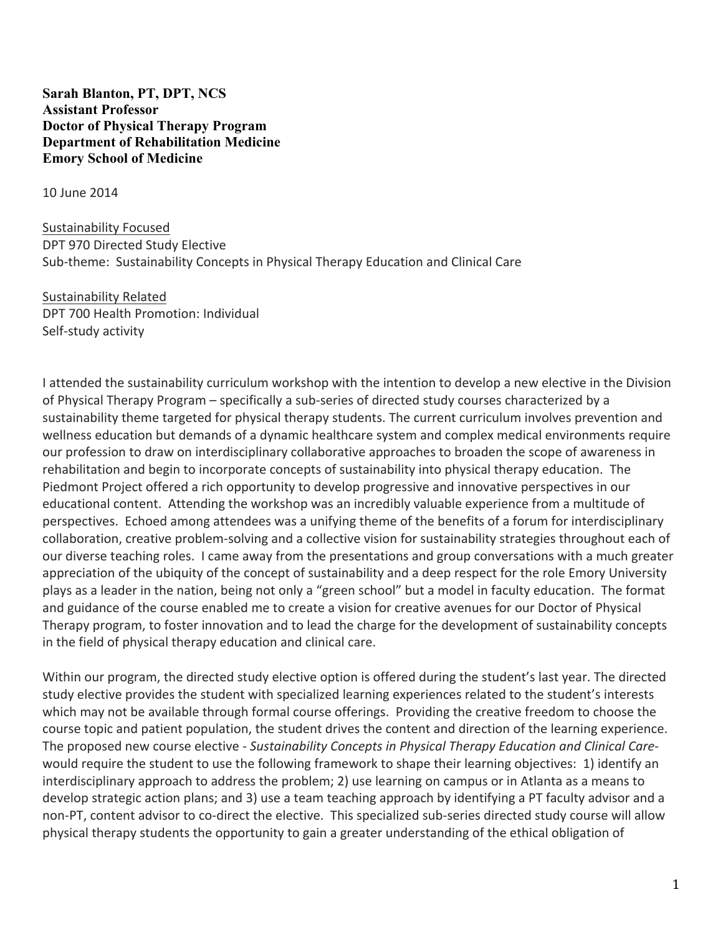**Sarah Blanton, PT, DPT, NCS Assistant Professor Doctor of Physical Therapy Program Department of Rehabilitation Medicine Emory School of Medicine**

10 June 2014

Sustainability Focused DPT 970 Directed Study Elective Sub-theme: Sustainability Concepts in Physical Therapy Education and Clinical Care

Sustainability Related DPT 700 Health Promotion: Individual Self-study activity

I attended the sustainability curriculum workshop with the intention to develop a new elective in the Division of Physical Therapy Program – specifically a sub-series of directed study courses characterized by a sustainability theme targeted for physical therapy students. The current curriculum involves prevention and wellness education but demands of a dynamic healthcare system and complex medical environments require our profession to draw on interdisciplinary collaborative approaches to broaden the scope of awareness in rehabilitation and begin to incorporate concepts of sustainability into physical therapy education. The Piedmont Project offered a rich opportunity to develop progressive and innovative perspectives in our educational content. Attending the workshop was an incredibly valuable experience from a multitude of perspectives. Echoed among attendees was a unifying theme of the benefits of a forum for interdisciplinary collaboration, creative problem-solving and a collective vision for sustainability strategies throughout each of our diverse teaching roles. I came away from the presentations and group conversations with a much greater appreciation of the ubiquity of the concept of sustainability and a deep respect for the role Emory University plays as a leader in the nation, being not only a "green school" but a model in faculty education. The format and guidance of the course enabled me to create a vision for creative avenues for our Doctor of Physical Therapy program, to foster innovation and to lead the charge for the development of sustainability concepts in the field of physical therapy education and clinical care.

Within our program, the directed study elective option is offered during the student's last year. The directed study elective provides the student with specialized learning experiences related to the student's interests which may not be available through formal course offerings. Providing the creative freedom to choose the course topic and patient population, the student drives the content and direction of the learning experience. The proposed new course elective - Sustainability Concepts in Physical Therapy Education and Clinical Carewould require the student to use the following framework to shape their learning objectives: 1) identify an interdisciplinary approach to address the problem; 2) use learning on campus or in Atlanta as a means to develop strategic action plans; and 3) use a team teaching approach by identifying a PT faculty advisor and a non-PT, content advisor to co-direct the elective. This specialized sub-series directed study course will allow physical therapy students the opportunity to gain a greater understanding of the ethical obligation of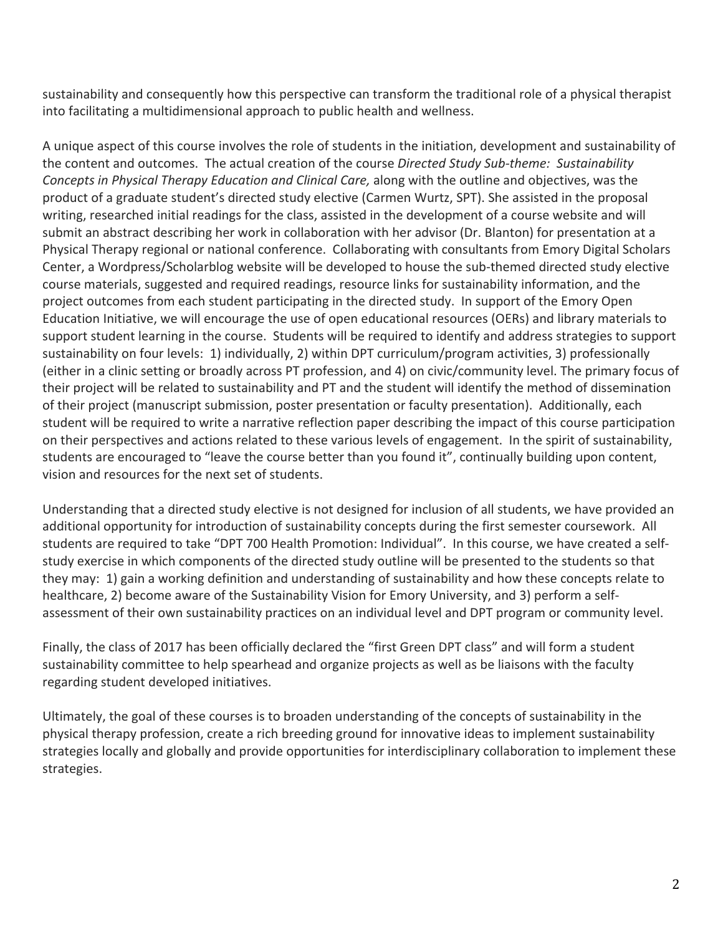sustainability and consequently how this perspective can transform the traditional role of a physical therapist into facilitating a multidimensional approach to public health and wellness.

A unique aspect of this course involves the role of students in the initiation, development and sustainability of the content and outcomes. The actual creation of the course *Directed Study Sub-theme: Sustainability Concepts in Physical Therapy Education and Clinical Care,* along with the outline and objectives, was the product of a graduate student's directed study elective (Carmen Wurtz, SPT). She assisted in the proposal writing, researched initial readings for the class, assisted in the development of a course website and will submit an abstract describing her work in collaboration with her advisor (Dr. Blanton) for presentation at a Physical Therapy regional or national conference. Collaborating with consultants from Emory Digital Scholars Center, a Wordpress/Scholarblog website will be developed to house the sub-themed directed study elective course materials, suggested and required readings, resource links for sustainability information, and the project outcomes from each student participating in the directed study. In support of the Emory Open Education Initiative, we will encourage the use of open educational resources (OERs) and library materials to support student learning in the course. Students will be required to identify and address strategies to support sustainability on four levels: 1) individually, 2) within DPT curriculum/program activities, 3) professionally (either in a clinic setting or broadly across PT profession, and 4) on civic/community level. The primary focus of their project will be related to sustainability and PT and the student will identify the method of dissemination of their project (manuscript submission, poster presentation or faculty presentation). Additionally, each student will be required to write a narrative reflection paper describing the impact of this course participation on their perspectives and actions related to these various levels of engagement. In the spirit of sustainability, students are encouraged to "leave the course better than you found it", continually building upon content, vision and resources for the next set of students.

Understanding that a directed study elective is not designed for inclusion of all students, we have provided an additional opportunity for introduction of sustainability concepts during the first semester coursework. All students are required to take "DPT 700 Health Promotion: Individual". In this course, we have created a selfstudy exercise in which components of the directed study outline will be presented to the students so that they may: 1) gain a working definition and understanding of sustainability and how these concepts relate to healthcare, 2) become aware of the Sustainability Vision for Emory University, and 3) perform a selfassessment of their own sustainability practices on an individual level and DPT program or community level.

Finally, the class of 2017 has been officially declared the "first Green DPT class" and will form a student sustainability committee to help spearhead and organize projects as well as be liaisons with the faculty regarding student developed initiatives.

Ultimately, the goal of these courses is to broaden understanding of the concepts of sustainability in the physical therapy profession, create a rich breeding ground for innovative ideas to implement sustainability strategies locally and globally and provide opportunities for interdisciplinary collaboration to implement these strategies.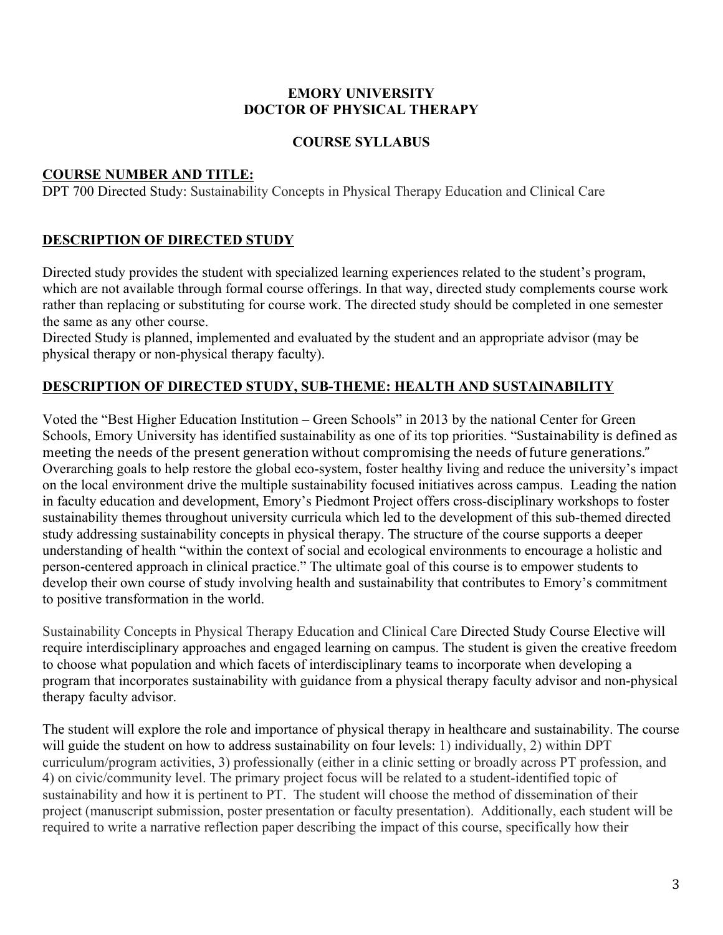#### **EMORY UNIVERSITY DOCTOR OF PHYSICAL THERAPY**

### **COURSE SYLLABUS**

#### **COURSE NUMBER AND TITLE:**

DPT 700 Directed Study: Sustainability Concepts in Physical Therapy Education and Clinical Care

## **DESCRIPTION OF DIRECTED STUDY**

Directed study provides the student with specialized learning experiences related to the student's program, which are not available through formal course offerings. In that way, directed study complements course work rather than replacing or substituting for course work. The directed study should be completed in one semester the same as any other course.

Directed Study is planned, implemented and evaluated by the student and an appropriate advisor (may be physical therapy or non-physical therapy faculty).

## **DESCRIPTION OF DIRECTED STUDY, SUB-THEME: HEALTH AND SUSTAINABILITY**

Voted the "Best Higher Education Institution – Green Schools" in 2013 by the national Center for Green Schools, Emory University has identified sustainability as one of its top priorities. "Sustainability is defined as meeting the needs of the present generation without compromising the needs of future generations." Overarching goals to help restore the global eco-system, foster healthy living and reduce the university's impact on the local environment drive the multiple sustainability focused initiatives across campus. Leading the nation in faculty education and development, Emory's Piedmont Project offers cross-disciplinary workshops to foster sustainability themes throughout university curricula which led to the development of this sub-themed directed study addressing sustainability concepts in physical therapy. The structure of the course supports a deeper understanding of health "within the context of social and ecological environments to encourage a holistic and person-centered approach in clinical practice." The ultimate goal of this course is to empower students to develop their own course of study involving health and sustainability that contributes to Emory's commitment to positive transformation in the world.

Sustainability Concepts in Physical Therapy Education and Clinical Care Directed Study Course Elective will require interdisciplinary approaches and engaged learning on campus. The student is given the creative freedom to choose what population and which facets of interdisciplinary teams to incorporate when developing a program that incorporates sustainability with guidance from a physical therapy faculty advisor and non-physical therapy faculty advisor.

The student will explore the role and importance of physical therapy in healthcare and sustainability. The course will guide the student on how to address sustainability on four levels: 1) individually, 2) within DPT curriculum/program activities, 3) professionally (either in a clinic setting or broadly across PT profession, and 4) on civic/community level. The primary project focus will be related to a student-identified topic of sustainability and how it is pertinent to PT. The student will choose the method of dissemination of their project (manuscript submission, poster presentation or faculty presentation). Additionally, each student will be required to write a narrative reflection paper describing the impact of this course, specifically how their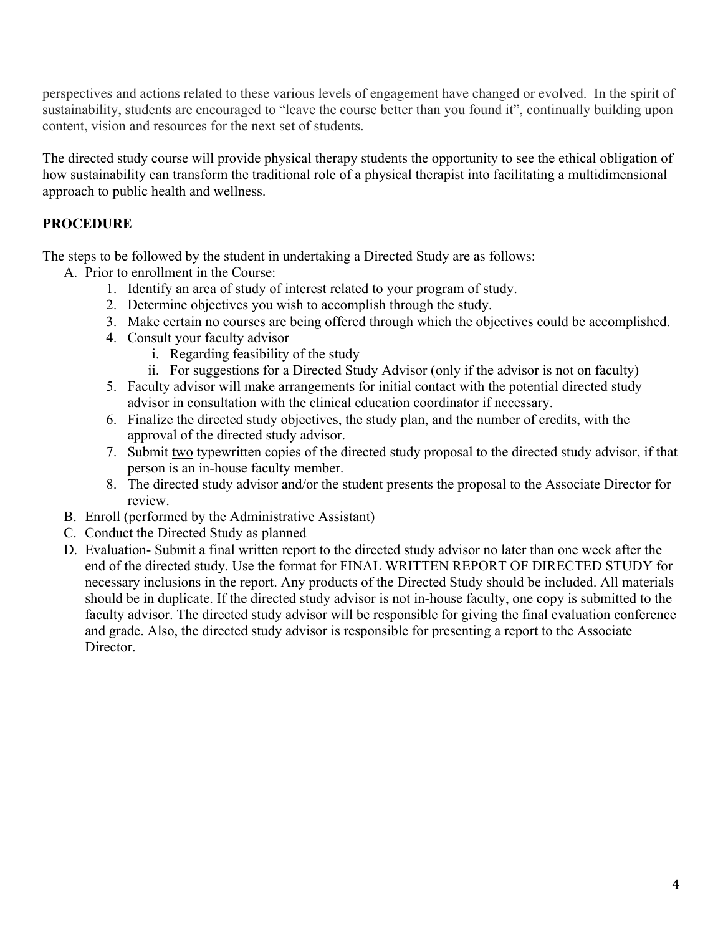perspectives and actions related to these various levels of engagement have changed or evolved. In the spirit of sustainability, students are encouraged to "leave the course better than you found it", continually building upon content, vision and resources for the next set of students.

The directed study course will provide physical therapy students the opportunity to see the ethical obligation of how sustainability can transform the traditional role of a physical therapist into facilitating a multidimensional approach to public health and wellness.

# **PROCEDURE**

The steps to be followed by the student in undertaking a Directed Study are as follows:

- A. Prior to enrollment in the Course:
	- 1. Identify an area of study of interest related to your program of study.
	- 2. Determine objectives you wish to accomplish through the study.
	- 3. Make certain no courses are being offered through which the objectives could be accomplished.
	- 4. Consult your faculty advisor
		- i. Regarding feasibility of the study
		- ii. For suggestions for a Directed Study Advisor (only if the advisor is not on faculty)
	- 5. Faculty advisor will make arrangements for initial contact with the potential directed study advisor in consultation with the clinical education coordinator if necessary.
	- 6. Finalize the directed study objectives, the study plan, and the number of credits, with the approval of the directed study advisor.
	- 7. Submit two typewritten copies of the directed study proposal to the directed study advisor, if that person is an in-house faculty member.
	- 8. The directed study advisor and/or the student presents the proposal to the Associate Director for review.
- B. Enroll (performed by the Administrative Assistant)
- C. Conduct the Directed Study as planned
- D. Evaluation- Submit a final written report to the directed study advisor no later than one week after the end of the directed study. Use the format for FINAL WRITTEN REPORT OF DIRECTED STUDY for necessary inclusions in the report. Any products of the Directed Study should be included. All materials should be in duplicate. If the directed study advisor is not in-house faculty, one copy is submitted to the faculty advisor. The directed study advisor will be responsible for giving the final evaluation conference and grade. Also, the directed study advisor is responsible for presenting a report to the Associate Director.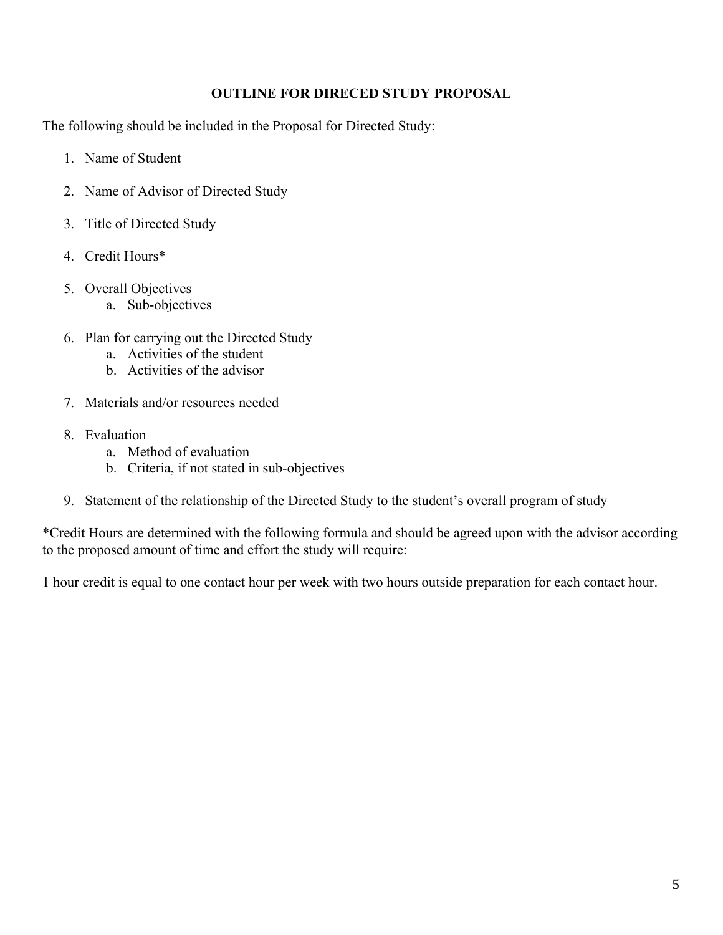### **OUTLINE FOR DIRECED STUDY PROPOSAL**

The following should be included in the Proposal for Directed Study:

- 1. Name of Student
- 2. Name of Advisor of Directed Study
- 3. Title of Directed Study
- 4. Credit Hours\*
- 5. Overall Objectives
	- a. Sub-objectives
- 6. Plan for carrying out the Directed Study
	- a. Activities of the student
	- b. Activities of the advisor
- 7. Materials and/or resources needed
- 8. Evaluation
	- a. Method of evaluation
	- b. Criteria, if not stated in sub-objectives
- 9. Statement of the relationship of the Directed Study to the student's overall program of study

\*Credit Hours are determined with the following formula and should be agreed upon with the advisor according to the proposed amount of time and effort the study will require:

1 hour credit is equal to one contact hour per week with two hours outside preparation for each contact hour.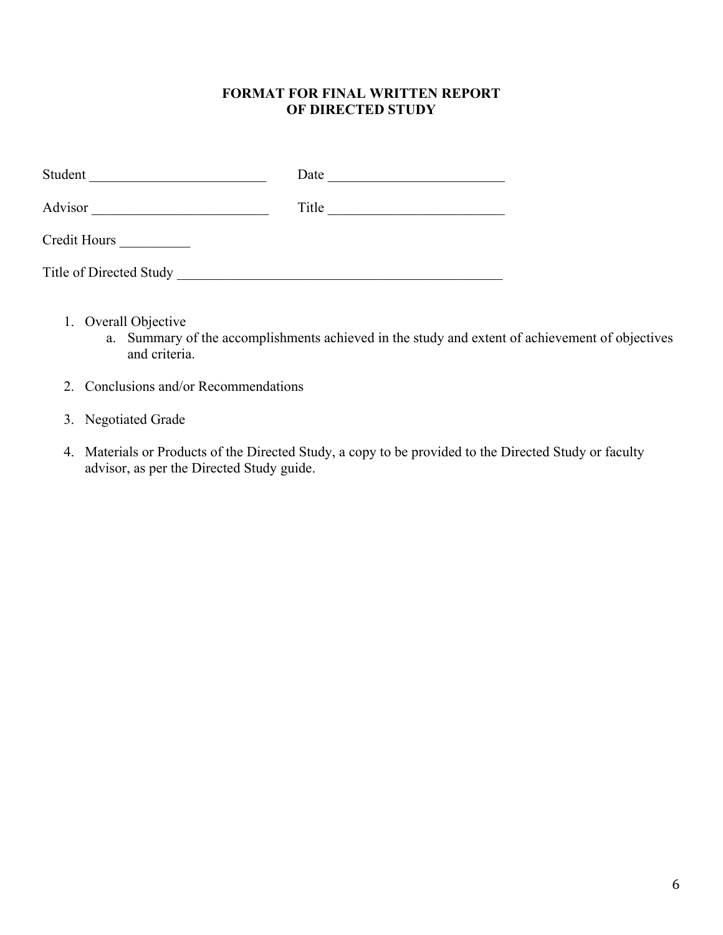#### **FORMAT FOR FINAL WRITTEN REPORT OF DIRECTED STUDY**

| Student                 | Date  |
|-------------------------|-------|
| Advisor                 | Title |
| Credit Hours            |       |
| Title of Directed Study |       |

- 1. Overall Objective
	- a. Summary of the accomplishments achieved in the study and extent of achievement of objectives and criteria.
- 2. Conclusions and/or Recommendations
- 3. Negotiated Grade
- 4. Materials or Products of the Directed Study, a copy to be provided to the Directed Study or faculty advisor, as per the Directed Study guide.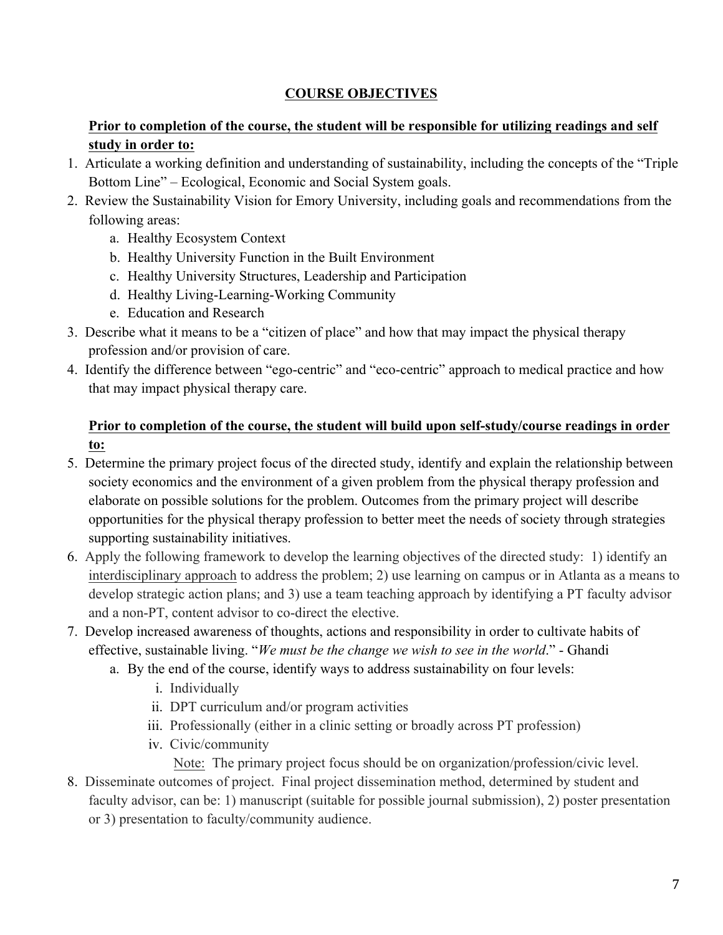# **COURSE OBJECTIVES**

# **Prior to completion of the course, the student will be responsible for utilizing readings and self study in order to:**

- 1. Articulate a working definition and understanding of sustainability, including the concepts of the "Triple Bottom Line" – Ecological, Economic and Social System goals.
- 2. Review the Sustainability Vision for Emory University, including goals and recommendations from the following areas:
	- a. Healthy Ecosystem Context
	- b. Healthy University Function in the Built Environment
	- c. Healthy University Structures, Leadership and Participation
	- d. Healthy Living-Learning-Working Community
	- e. Education and Research
- 3. Describe what it means to be a "citizen of place" and how that may impact the physical therapy profession and/or provision of care.
- 4. Identify the difference between "ego-centric" and "eco-centric" approach to medical practice and how that may impact physical therapy care.

## **Prior to completion of the course, the student will build upon self-study/course readings in order to:**

- 5. Determine the primary project focus of the directed study, identify and explain the relationship between society economics and the environment of a given problem from the physical therapy profession and elaborate on possible solutions for the problem. Outcomes from the primary project will describe opportunities for the physical therapy profession to better meet the needs of society through strategies supporting sustainability initiatives.
- 6. Apply the following framework to develop the learning objectives of the directed study: 1) identify an interdisciplinary approach to address the problem; 2) use learning on campus or in Atlanta as a means to develop strategic action plans; and 3) use a team teaching approach by identifying a PT faculty advisor and a non-PT, content advisor to co-direct the elective.
- 7. Develop increased awareness of thoughts, actions and responsibility in order to cultivate habits of effective, sustainable living. "*We must be the change we wish to see in the world*." - Ghandi
	- a. By the end of the course, identify ways to address sustainability on four levels:
		- i. Individually
		- ii. DPT curriculum and/or program activities
		- iii. Professionally (either in a clinic setting or broadly across PT profession)
		- iv. Civic/community

Note: The primary project focus should be on organization/profession/civic level.

8. Disseminate outcomes of project. Final project dissemination method, determined by student and faculty advisor, can be: 1) manuscript (suitable for possible journal submission), 2) poster presentation or 3) presentation to faculty/community audience.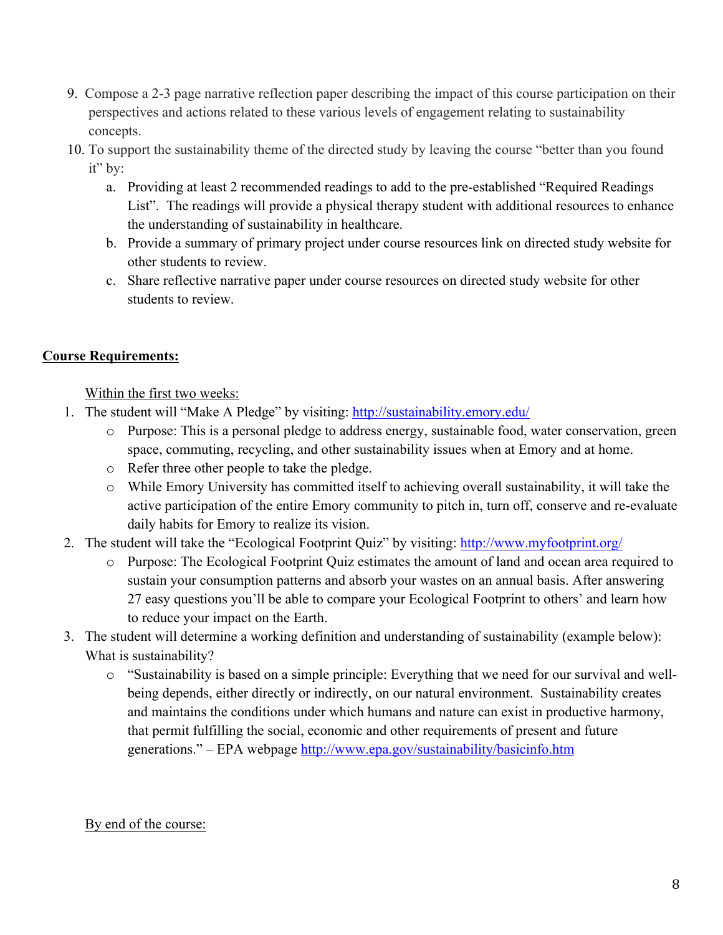- 9. Compose a 2-3 page narrative reflection paper describing the impact of this course participation on their perspectives and actions related to these various levels of engagement relating to sustainability concepts.
- 10. To support the sustainability theme of the directed study by leaving the course "better than you found it" by:
	- a. Providing at least 2 recommended readings to add to the pre-established "Required Readings List". The readings will provide a physical therapy student with additional resources to enhance the understanding of sustainability in healthcare.
	- b. Provide a summary of primary project under course resources link on directed study website for other students to review.
	- c. Share reflective narrative paper under course resources on directed study website for other students to review.

# **Course Requirements:**

Within the first two weeks:

- 1. The student will "Make A Pledge" by visiting: http://sustainability.emory.edu/
	- o Purpose: This is a personal pledge to address energy, sustainable food, water conservation, green space, commuting, recycling, and other sustainability issues when at Emory and at home.
	- o Refer three other people to take the pledge.
	- o While Emory University has committed itself to achieving overall sustainability, it will take the active participation of the entire Emory community to pitch in, turn off, conserve and re-evaluate daily habits for Emory to realize its vision.
- 2. The student will take the "Ecological Footprint Quiz" by visiting: http://www.myfootprint.org/
	- o Purpose: The Ecological Footprint Quiz estimates the amount of land and ocean area required to sustain your consumption patterns and absorb your wastes on an annual basis. After answering 27 easy questions you'll be able to compare your Ecological Footprint to others' and learn how to reduce your impact on the Earth.
- 3. The student will determine a working definition and understanding of sustainability (example below): What is sustainability?
	- o "Sustainability is based on a simple principle: Everything that we need for our survival and wellbeing depends, either directly or indirectly, on our natural environment. Sustainability creates and maintains the conditions under which humans and nature can exist in productive harmony, that permit fulfilling the social, economic and other requirements of present and future generations." – EPA webpage http://www.epa.gov/sustainability/basicinfo.htm

## By end of the course: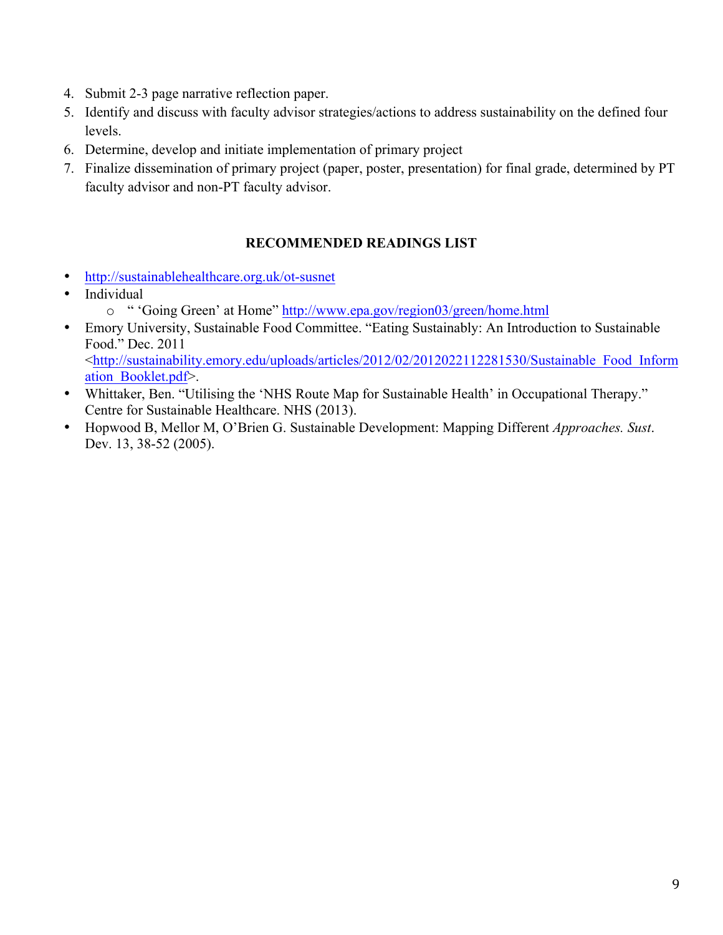- 4. Submit 2-3 page narrative reflection paper.
- 5. Identify and discuss with faculty advisor strategies/actions to address sustainability on the defined four levels.
- 6. Determine, develop and initiate implementation of primary project
- 7. Finalize dissemination of primary project (paper, poster, presentation) for final grade, determined by PT faculty advisor and non-PT faculty advisor.

## **RECOMMENDED READINGS LIST**

- http://sustainablehealthcare.org.uk/ot-susnet
- Individual
	- o " 'Going Green' at Home" http://www.epa.gov/region03/green/home.html
- Emory University, Sustainable Food Committee. "Eating Sustainably: An Introduction to Sustainable Food." Dec. 2011 <http://sustainability.emory.edu/uploads/articles/2012/02/2012022112281530/Sustainable\_Food\_Inform ation\_Booklet.pdf>.
- Whittaker, Ben. "Utilising the 'NHS Route Map for Sustainable Health' in Occupational Therapy." Centre for Sustainable Healthcare. NHS (2013).
- Hopwood B, Mellor M, O'Brien G. Sustainable Development: Mapping Different *Approaches. Sust*. Dev. 13, 38-52 (2005).